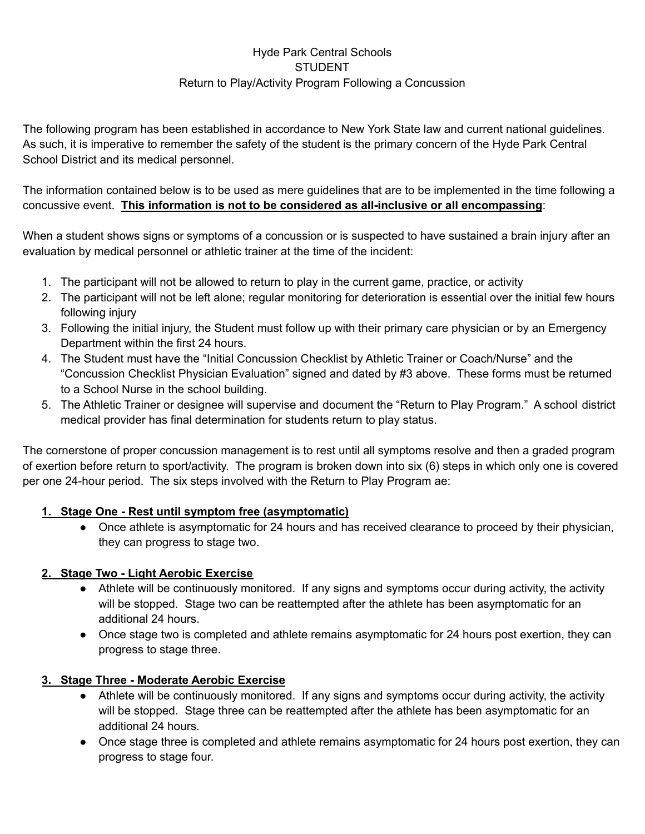# Hyde Park Central Schools **STUDENT** Return to Play/Activity Program Following a Concussion

The following program has been established in accordance to New York State law and current national guidelines. As such, it is imperative to remember the safety of the student is the primary concern of the Hyde Park Central School District and its medical personnel.

The information contained below is to be used as mere guidelines that are to be implemented in the time following a concussive event. **This information is not to be considered as all-inclusive or all encompassing**:

When a student shows signs or symptoms of a concussion or is suspected to have sustained a brain injury after an evaluation by medical personnel or athletic trainer at the time of the incident:

- 1. The participant will not be allowed to return to play in the current game, practice, or activity
- 2. The participant will not be left alone; regular monitoring for deterioration is essential over the initial few hours following injury
- 3. Following the initial injury, the Student must follow up with their primary care physician or by an Emergency Department within the first 24 hours.
- 4. The Student must have the "Initial Concussion Checklist by Athletic Trainer or Coach/Nurse" and the "Concussion Checklist Physician Evaluation" signed and dated by #3 above. These forms must be returned to a School Nurse in the school building.
- 5. The Athletic Trainer or designee will supervise and document the "Return to Play Program." A school district medical provider has final determination for students return to play status.

The cornerstone of proper concussion management is to rest until all symptoms resolve and then a graded program of exertion before return to sport/activity. The program is broken down into six (6) steps in which only one is covered per one 24-hour period. The six steps involved with the Return to Play Program ae:

## **1. Stage One - Rest until symptom free (asymptomatic)**

• Once athlete is asymptomatic for 24 hours and has received clearance to proceed by their physician, they can progress to stage two.

## **2. Stage Two - Light Aerobic Exercise**

- Athlete will be continuously monitored. If any signs and symptoms occur during activity, the activity will be stopped. Stage two can be reattempted after the athlete has been asymptomatic for an additional 24 hours.
- Once stage two is completed and athlete remains asymptomatic for 24 hours post exertion, they can progress to stage three.

## **3. Stage Three - Moderate Aerobic Exercise**

- Athlete will be continuously monitored. If any signs and symptoms occur during activity, the activity will be stopped. Stage three can be reattempted after the athlete has been asymptomatic for an additional 24 hours.
- Once stage three is completed and athlete remains asymptomatic for 24 hours post exertion, they can progress to stage four.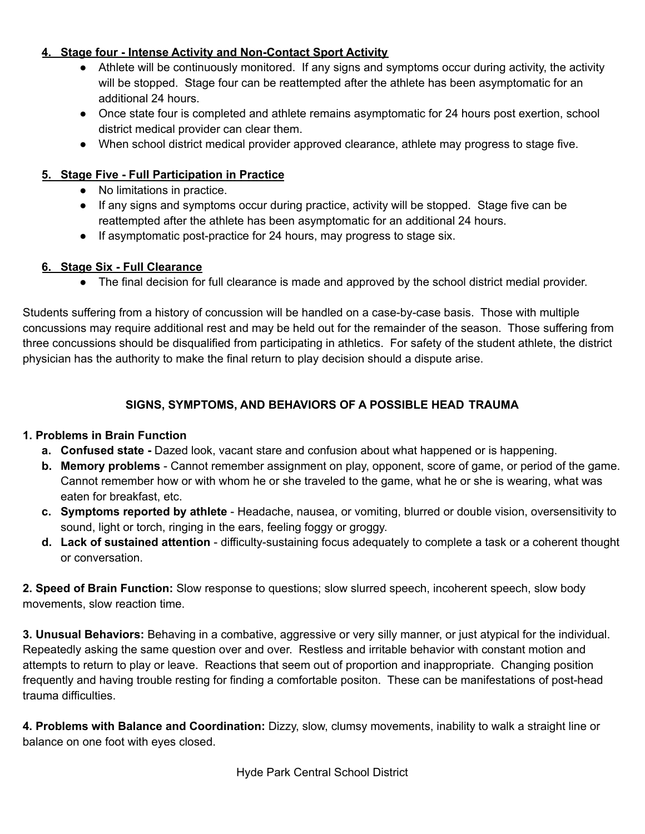### **4. Stage four - Intense Activity and Non-Contact Sport Activity**

- Athlete will be continuously monitored. If any signs and symptoms occur during activity, the activity will be stopped. Stage four can be reattempted after the athlete has been asymptomatic for an additional 24 hours.
- Once state four is completed and athlete remains asymptomatic for 24 hours post exertion, school district medical provider can clear them.
- When school district medical provider approved clearance, athlete may progress to stage five.

## **5. Stage Five - Full Participation in Practice**

- No limitations in practice.
- If any signs and symptoms occur during practice, activity will be stopped. Stage five can be reattempted after the athlete has been asymptomatic for an additional 24 hours.
- If asymptomatic post-practice for 24 hours, may progress to stage six.

#### **6. Stage Six - Full Clearance**

● The final decision for full clearance is made and approved by the school district medial provider.

Students suffering from a history of concussion will be handled on a case-by-case basis. Those with multiple concussions may require additional rest and may be held out for the remainder of the season. Those suffering from three concussions should be disqualified from participating in athletics. For safety of the student athlete, the district physician has the authority to make the final return to play decision should a dispute arise.

## **SIGNS, SYMPTOMS, AND BEHAVIORS OF A POSSIBLE HEAD TRAUMA**

## **1. Problems in Brain Function**

- **a. Confused state -** Dazed look, vacant stare and confusion about what happened or is happening.
- **b. Memory problems** Cannot remember assignment on play, opponent, score of game, or period of the game. Cannot remember how or with whom he or she traveled to the game, what he or she is wearing, what was eaten for breakfast, etc.
- **c. Symptoms reported by athlete** Headache, nausea, or vomiting, blurred or double vision, oversensitivity to sound, light or torch, ringing in the ears, feeling foggy or groggy.
- **d. Lack of sustained attention** difficulty-sustaining focus adequately to complete a task or a coherent thought or conversation.

**2. Speed of Brain Function:** Slow response to questions; slow slurred speech, incoherent speech, slow body movements, slow reaction time.

**3. Unusual Behaviors:** Behaving in a combative, aggressive or very silly manner, or just atypical for the individual. Repeatedly asking the same question over and over. Restless and irritable behavior with constant motion and attempts to return to play or leave. Reactions that seem out of proportion and inappropriate. Changing position frequently and having trouble resting for finding a comfortable positon. These can be manifestations of post-head trauma difficulties.

**4. Problems with Balance and Coordination:** Dizzy, slow, clumsy movements, inability to walk a straight line or balance on one foot with eyes closed.

Hyde Park Central School District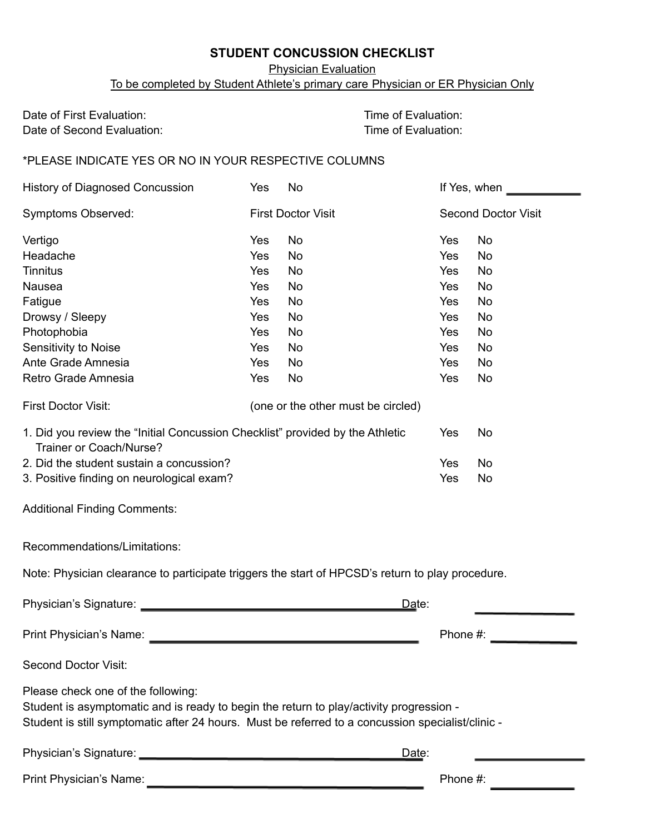### **STUDENT CONCUSSION CHECKLIST**

Physician Evaluation

To be completed by Student Athlete's primary care Physician or ER Physician Only

Date of First Evaluation: Date of First Evaluation: Date of Second Evaluation: Date of Evaluation:

\*PLEASE INDICATE YES OR NO IN YOUR RESPECTIVE COLUMNS

| History of Diagnosed Concussion                                                                                                                                                                                                    | Yes | No                                 |          | If Yes, when               |  |
|------------------------------------------------------------------------------------------------------------------------------------------------------------------------------------------------------------------------------------|-----|------------------------------------|----------|----------------------------|--|
| <b>Symptoms Observed:</b>                                                                                                                                                                                                          |     | <b>First Doctor Visit</b>          |          | <b>Second Doctor Visit</b> |  |
| Vertigo                                                                                                                                                                                                                            | Yes | No                                 | Yes      | No                         |  |
| Headache                                                                                                                                                                                                                           | Yes | <b>No</b>                          | Yes      | <b>No</b>                  |  |
| <b>Tinnitus</b>                                                                                                                                                                                                                    | Yes | No                                 | Yes      | No                         |  |
| Nausea                                                                                                                                                                                                                             | Yes | No                                 | Yes      | No                         |  |
| Fatigue                                                                                                                                                                                                                            | Yes | No                                 | Yes      | No                         |  |
| Drowsy / Sleepy                                                                                                                                                                                                                    | Yes | No                                 | Yes      | No                         |  |
| Photophobia                                                                                                                                                                                                                        | Yes | No                                 | Yes      | No                         |  |
| Sensitivity to Noise                                                                                                                                                                                                               | Yes | No                                 | Yes      | No                         |  |
| Ante Grade Amnesia                                                                                                                                                                                                                 | Yes | <b>No</b>                          | Yes      | <b>No</b>                  |  |
| Retro Grade Amnesia                                                                                                                                                                                                                | Yes | No                                 | Yes      | No                         |  |
| First Doctor Visit:                                                                                                                                                                                                                |     | (one or the other must be circled) |          |                            |  |
| 1. Did you review the "Initial Concussion Checklist" provided by the Athletic<br>Trainer or Coach/Nurse?                                                                                                                           |     |                                    | Yes      | No                         |  |
| 2. Did the student sustain a concussion?                                                                                                                                                                                           |     |                                    | Yes      | No                         |  |
| 3. Positive finding on neurological exam?                                                                                                                                                                                          |     |                                    | Yes      | No                         |  |
| <b>Additional Finding Comments:</b>                                                                                                                                                                                                |     |                                    |          |                            |  |
| Recommendations/Limitations:                                                                                                                                                                                                       |     |                                    |          |                            |  |
| Note: Physician clearance to participate triggers the start of HPCSD's return to play procedure.                                                                                                                                   |     |                                    |          |                            |  |
|                                                                                                                                                                                                                                    |     |                                    | Date:    |                            |  |
| Print Physician's Name:                                                                                                                                                                                                            |     |                                    | Phone #: |                            |  |
| <b>Second Doctor Visit:</b>                                                                                                                                                                                                        |     |                                    |          |                            |  |
| Please check one of the following:<br>Student is asymptomatic and is ready to begin the return to play/activity progression -<br>Student is still symptomatic after 24 hours. Must be referred to a concussion specialist/clinic - |     |                                    |          |                            |  |
|                                                                                                                                                                                                                                    |     |                                    | Date:    |                            |  |
| Print Physician's Name:                                                                                                                                                                                                            |     | Phone #:                           |          |                            |  |